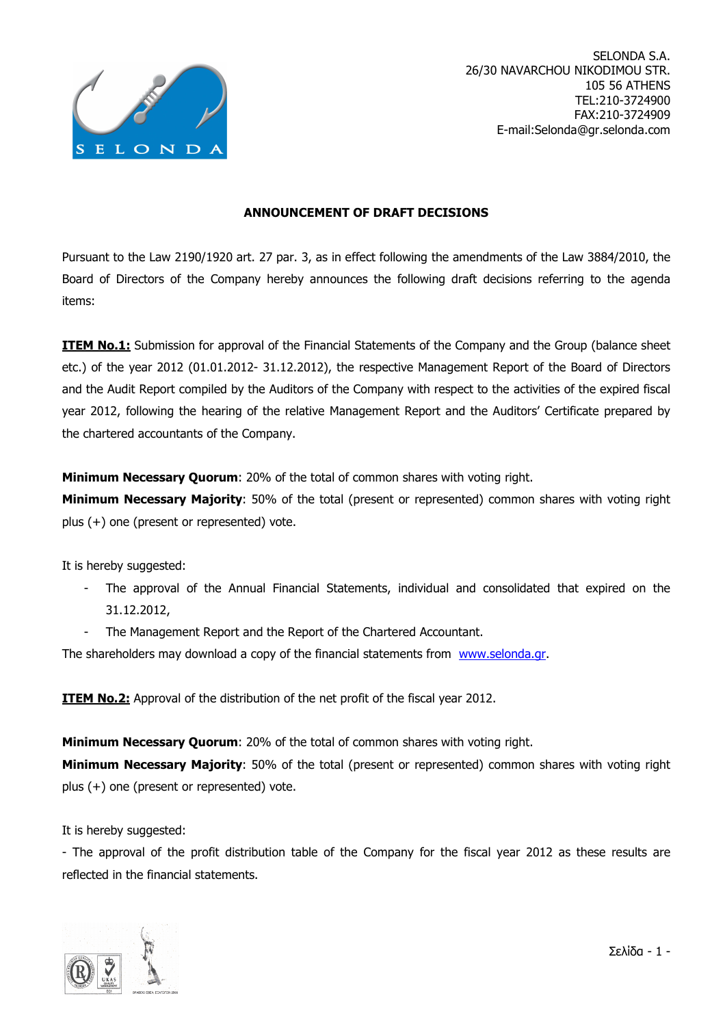

## ANNOUNCEMENT OF DRAFT DECISIONS

Pursuant to the Law 2190/1920 art. 27 par. 3, as in effect following the amendments of the Law 3884/2010, the Board of Directors of the Company hereby announces the following draft decisions referring to the agenda items:

**ITEM No.1:** Submission for approval of the Financial Statements of the Company and the Group (balance sheet etc.) of the year 2012 (01.01.2012- 31.12.2012), the respective Management Report of the Board of Directors and the Audit Report compiled by the Auditors of the Company with respect to the activities of the expired fiscal year 2012, following the hearing of the relative Management Report and the Auditors' Certificate prepared by the chartered accountants of the Company.

**Minimum Necessary Quorum:** 20% of the total of common shares with voting right.

Minimum Necessary Majority: 50% of the total (present or represented) common shares with voting right plus (+) one (present or represented) vote.

It is hereby suggested:

- The approval of the Annual Financial Statements, individual and consolidated that expired on the 31.12.2012,
- The Management Report and the Report of the Chartered Accountant.

The shareholders may download a copy of the financial statements from www.selonda.gr.

**ITEM No.2:** Approval of the distribution of the net profit of the fiscal year 2012.

**Minimum Necessary Ouorum: 20% of the total of common shares with voting right.** 

**Minimum Necessary Majority**: 50% of the total (present or represented) common shares with voting right plus (+) one (present or represented) vote.

It is hereby suggested:

- The approval of the profit distribution table of the Company for the fiscal year 2012 as these results are reflected in the financial statements.

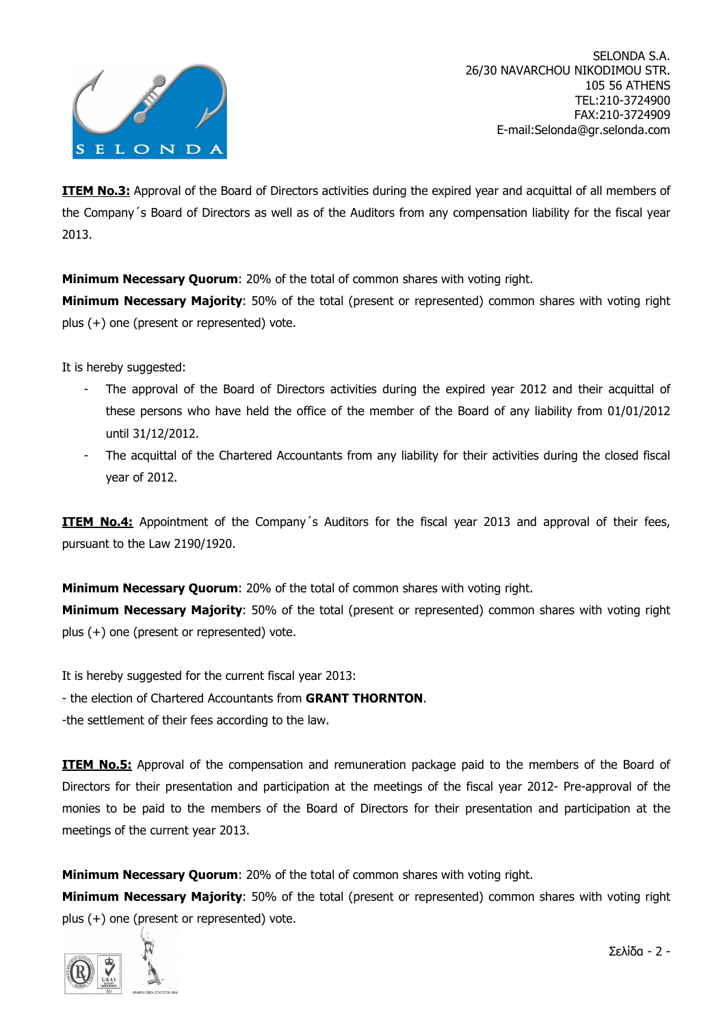

**ITEM No.3:** Approval of the Board of Directors activities during the expired year and acquittal of all members of the Company´s Board of Directors as well as of the Auditors from any compensation liability for the fiscal year 2013.

**Minimum Necessary Ouorum:** 20% of the total of common shares with voting right.

**Minimum Necessary Majority**: 50% of the total (present or represented) common shares with voting right plus (+) one (present or represented) vote.

It is hereby suggested:

- The approval of the Board of Directors activities during the expired year 2012 and their acquittal of these persons who have held the office of the member of the Board of any liability from 01/01/2012 until 31/12/2012.
- The acquittal of the Chartered Accountants from any liability for their activities during the closed fiscal year of 2012.

**ITEM No.4:** Appointment of the Company's Auditors for the fiscal year 2013 and approval of their fees, pursuant to the Law 2190/1920.

**Minimum Necessary Quorum:** 20% of the total of common shares with voting right.

Minimum Necessary Majority: 50% of the total (present or represented) common shares with voting right plus (+) one (present or represented) vote.

It is hereby suggested for the current fiscal year 2013:

- the election of Chartered Accountants from GRANT THORNTON.

-the settlement of their fees according to the law.

**ITEM No.5:** Approval of the compensation and remuneration package paid to the members of the Board of Directors for their presentation and participation at the meetings of the fiscal year 2012- Pre-approval of the monies to be paid to the members of the Board of Directors for their presentation and participation at the meetings of the current year 2013.

**Minimum Necessary Quorum:** 20% of the total of common shares with voting right.

Minimum Necessary Majority: 50% of the total (present or represented) common shares with voting right plus (+) one (present or represented) vote.